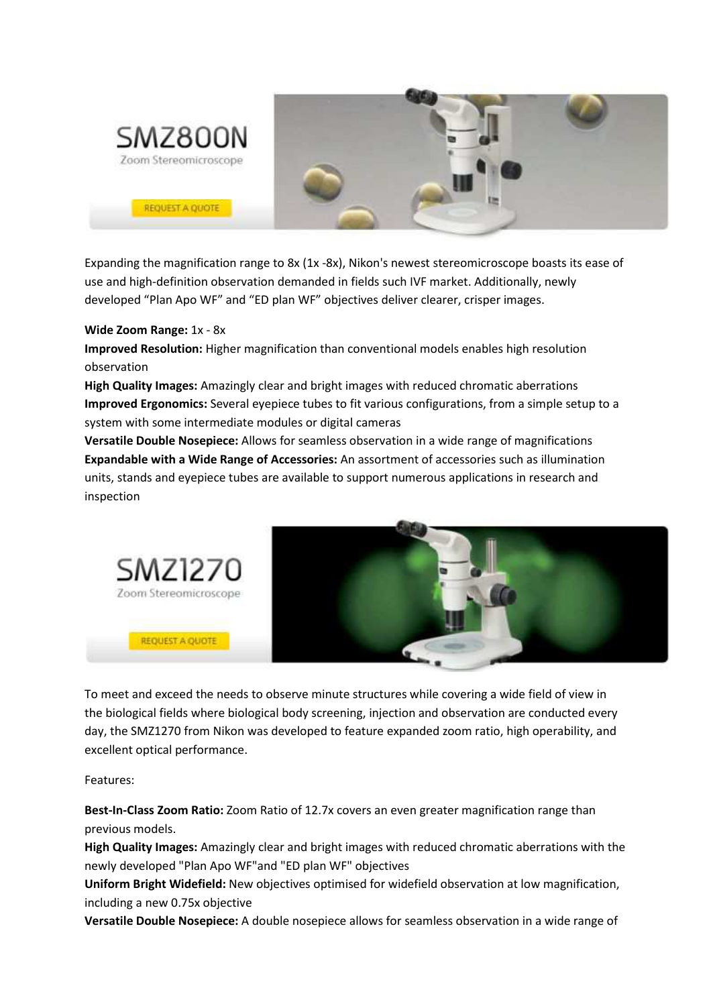

Expanding the magnification range to 8x (1x -8x), Nikon's newest stereomicroscope boasts its ease of use and high-definition observation demanded in fields such IVF market. Additionally, newly developed "Plan Apo WF" and "ED plan WF" objectives deliver clearer, crisper images.

## **Wide Zoom Range:** 1x - 8x

**Improved Resolution:** Higher magnification than conventional models enables high resolution observation

**High Quality Images:** Amazingly clear and bright images with reduced chromatic aberrations **Improved Ergonomics:** Several eyepiece tubes to fit various configurations, from a simple setup to a system with some intermediate modules or digital cameras

**Versatile Double Nosepiece:** Allows for seamless observation in a wide range of magnifications **Expandable with a Wide Range of Accessories:** An assortment of accessories such as illumination units, stands and eyepiece tubes are available to support numerous applications in research and inspection



To meet and exceed the needs to observe minute structures while covering a wide field of view in the biological fields where biological body screening, injection and observation are conducted every day, the SMZ1270 from Nikon was developed to feature expanded zoom ratio, high operability, and excellent optical performance.

Features:

**Best-In-Class Zoom Ratio:** Zoom Ratio of 12.7x covers an even greater magnification range than previous models.

**High Quality Images:** Amazingly clear and bright images with reduced chromatic aberrations with the newly developed "Plan Apo WF"and "ED plan WF" objectives

**Uniform Bright Widefield:** New objectives optimised for widefield observation at low magnification, including a new 0.75x objective

**Versatile Double Nosepiece:** A double nosepiece allows for seamless observation in a wide range of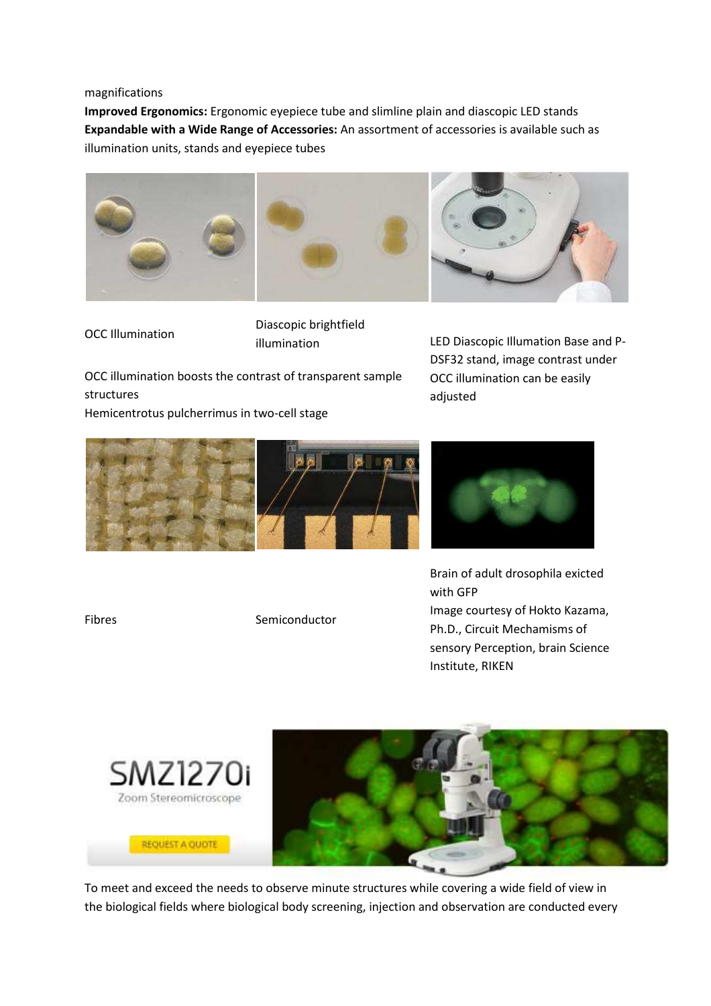## magnifications

**Improved Ergonomics:** Ergonomic eyepiece tube and slimline plain and diascopic LED stands **Expandable with a Wide Range of Accessories:** An assortment of accessories is available such as illumination units, stands and eyepiece tubes



OCC Illumination

Diascopic brightfield

OCC illumination boosts the contrast of transparent sample structures Hemicentrotus pulcherrimus in two-cell stage

illumination LED Diascopic Illumation Base and P-DSF32 stand, image contrast under OCC illumination can be easily adjusted





Brain of adult drosophila exicted with GFP Image courtesy of Hokto Kazama, Ph.D., Circuit Mechamisms of sensory Perception, brain Science Institute, RIKEN



To meet and exceed the needs to observe minute structures while covering a wide field of view in the biological fields where biological body screening, injection and observation are conducted every

Fibres Semiconductor